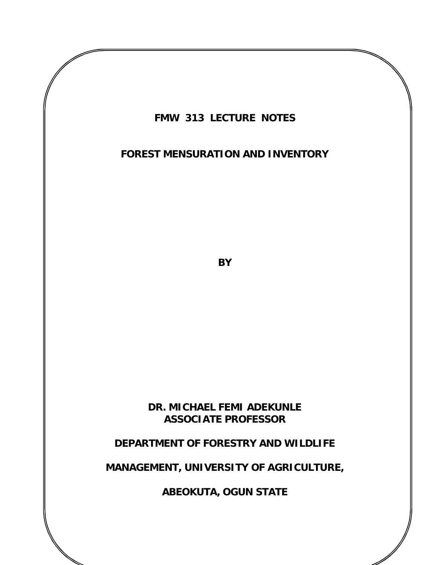

### **FOREST MENSURATION AND INVENTORY**

**BY**

**DR. MICHAEL FEMI ADEKUNLE ASSOCIATE PROFESSOR**

### **DEPARTMENT OF FORESTRY AND WILDLIFE**

### **MANAGEMENT, UNIVERSITY OF AGRICULTURE,**

**ABEOKUTA, OGUN STATE**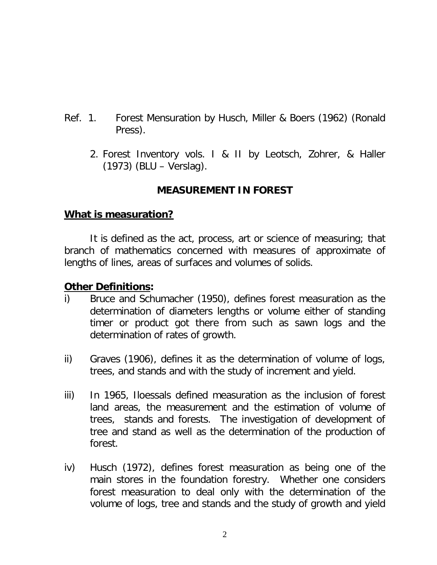- Ref. 1. Forest Mensuration by Husch, Miller & Boers (1962) (Ronald Press).
	- 2. Forest Inventory vols. I & II by Leotsch, Zohrer, & Haller (1973) (BLU – Verslag).

## **MEASUREMENT IN FOREST**

### **What is measuration?**

It is defined as the act, process, art or science of measuring; that branch of mathematics concerned with measures of approximate of lengths of lines, areas of surfaces and volumes of solids.

### **Other Definitions:**

- i) Bruce and Schumacher (1950), defines forest measuration as the determination of diameters lengths or volume either of standing timer or product got there from such as sawn logs and the determination of rates of growth.
- ii) Graves (1906), defines it as the determination of volume of logs, trees, and stands and with the study of increment and yield.
- iii) In 1965, Iloessals defined measuration as the inclusion of forest land areas, the measurement and the estimation of volume of trees, stands and forests. The investigation of development of tree and stand as well as the determination of the production of forest.
- iv) Husch (1972), defines forest measuration as being one of the main stores in the foundation forestry. Whether one considers forest measuration to deal only with the determination of the volume of logs, tree and stands and the study of growth and yield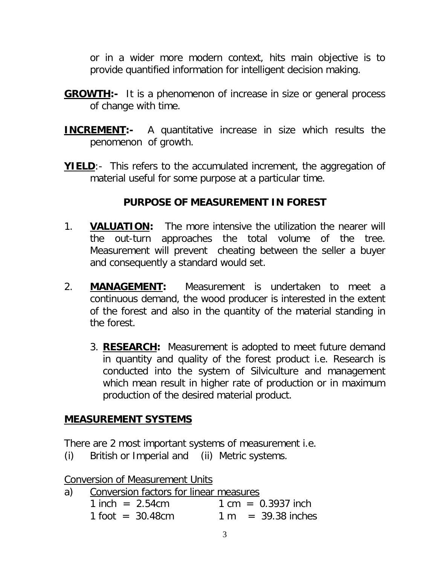or in a wider more modern context, hits main objective is to provide quantified information for intelligent decision making.

- **GROWTH:-** It is a phenomenon of increase in size or general process of change with time.
- **INCREMENT:-** A quantitative increase in size which results the penomenon of growth.
- **YIELD:** This refers to the accumulated increment, the aggregation of material useful for some purpose at a particular time.

### **PURPOSE OF MEASUREMENT IN FOREST**

- 1. **VALUATION:** The more intensive the utilization the nearer will the out-turn approaches the total volume of the tree. Measurement will prevent cheating between the seller a buyer and consequently a standard would set.
- 2. **MANAGEMENT:** Measurement is undertaken to meet a continuous demand, the wood producer is interested in the extent of the forest and also in the quantity of the material standing in the forest.
	- 3. **RESEARCH:** Measurement is adopted to meet future demand in quantity and quality of the forest product i.e. Research is conducted into the system of Silviculture and management which mean result in higher rate of production or in maximum production of the desired material product.

### **MEASUREMENT SYSTEMS**

There are 2 most important systems of measurement i.e.

(i) British or Imperial and (ii) Metric systems.

Conversion of Measurement Units

a) Conversion factors for linear measures  $1$  inch =  $2.54$ cm  $1 \text{ cm} = 0.3937$  inch  $1$  foot = 30.48cm  $1 m$  = 39.38 inches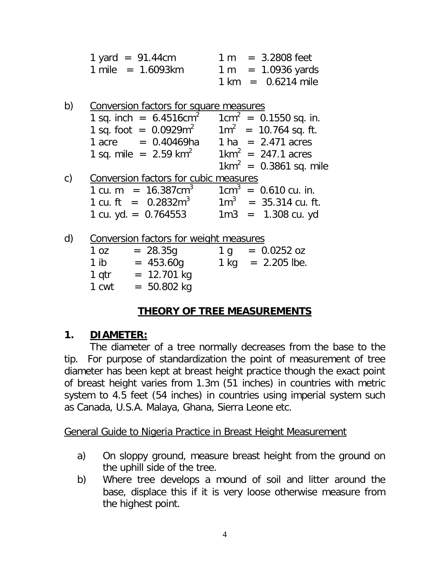| 1 yard = $91.44cm$  |  | $1 m = 3.2808$ feet                  |
|---------------------|--|--------------------------------------|
| 1 mile = $1.6093km$ |  | $1 m = 1.0936 \text{ yards}$         |
|                     |  | $1 \text{ km} = 0.6214 \text{ mile}$ |

| b) | Conversion factors for square measures                           |                                   |
|----|------------------------------------------------------------------|-----------------------------------|
|    | 1 sq. inch = $6.4516$ cm <sup>2</sup>                            | $1 \text{cm}^2$ = 0.1550 sq. in.  |
|    | 1 sq. foot = $0.0929m^2$ 1m <sup>2</sup> = 10.764 sq. ft.        |                                   |
|    | $1$ acre = 0.40469ha $1$ ha = 2.471 acres                        |                                   |
|    | 1 sq. mile = $2.59 \text{ km}^2$ 1km <sup>2</sup> = 247.1 acres  |                                   |
|    |                                                                  | $1 \text{km}^2$ = 0.3861 sq. mile |
| C) | Conversion factors for cubic measures                            |                                   |
|    | 1 cu. m = $16.387 \text{cm}^3$ 1 cm <sup>3</sup> = 0.610 cu. in. |                                   |
|    | 1 cu. ft = $0.2832m^3$ 1m <sup>3</sup> = 35.314 cu. ft.          |                                   |
|    | 1 cu. yd. $= 0.764553$                                           | $1m3 = 1.308$ cu. yd              |
|    |                                                                  |                                   |
| d) | Conversion factors for weight measures                           |                                   |
|    |                                                                  |                                   |

| 1 oz  | $= 28.35g$    | 1 q    | $= 0.0252$ oz  |
|-------|---------------|--------|----------------|
| 1 ib  | $= 453.60g$   | $1$ kg | $= 2.205$ lbe. |
| 1 gtr | $= 12.701$ kg |        |                |
| 1 cwt | $= 50.802$ kg |        |                |

# **THEORY OF TREE MEASUREMENTS**

## **1. DIAMETER:**

The diameter of a tree normally decreases from the base to the tip. For purpose of standardization the point of measurement of tree diameter has been kept at breast height practice though the exact point of breast height varies from 1.3m (51 inches) in countries with metric system to 4.5 feet (54 inches) in countries using imperial system such as Canada, U.S.A. Malaya, Ghana, Sierra Leone etc.

## General Guide to Nigeria Practice in Breast Height Measurement

- a) On sloppy ground, measure breast height from the ground on the uphill side of the tree.
- b) Where tree develops a mound of soil and litter around the base, displace this if it is very loose otherwise measure from the highest point.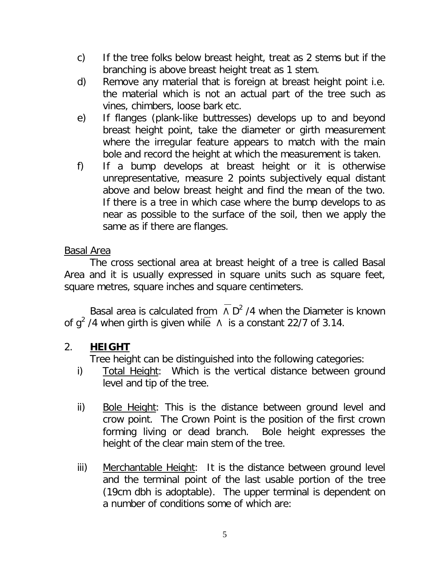- c) If the tree folks below breast height, treat as 2 stems but if the branching is above breast height treat as 1 stem.
- d) Remove any material that is foreign at breast height point i.e. the material which is not an actual part of the tree such as vines, chimbers, loose bark etc.
- e) If flanges (plank-like buttresses) develops up to and beyond breast height point, take the diameter or girth measurement where the irregular feature appears to match with the main bole and record the height at which the measurement is taken.
- f) If a bump develops at breast height or it is otherwise unrepresentative, measure 2 points subjectively equal distant above and below breast height and find the mean of the two. If there is a tree in which case where the bump develops to as near as possible to the surface of the soil, then we apply the same as if there are flanges.

### Basal Area

The cross sectional area at breast height of a tree is called Basal Area and it is usually expressed in square units such as square feet, square metres, square inches and square centimeters.

Basal area is calculated from  $\wedge$  D<sup>2</sup> /4 when the Diameter is known of g<sup>2</sup> /4 when girth is given while  $\Lambda$  is a constant 22/7 of 3.14.

## 2. **HEIGHT**

Tree height can be distinguished into the following categories:

- i) Total Height: Which is the vertical distance between ground level and tip of the tree.
- ii) Bole Height: This is the distance between ground level and crow point. The Crown Point is the position of the first crown forming living or dead branch. Bole height expresses the height of the clear main stem of the tree.
- iii) Merchantable Height: It is the distance between ground level and the terminal point of the last usable portion of the tree (19cm dbh is adoptable). The upper terminal is dependent on a number of conditions some of which are: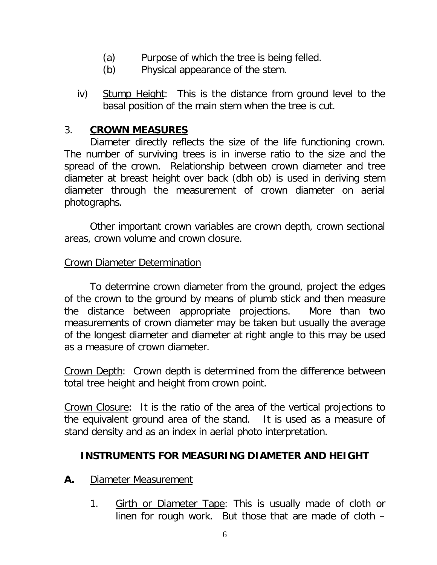- (a) Purpose of which the tree is being felled.
- (b) Physical appearance of the stem.
- iv) Stump Height: This is the distance from ground level to the basal position of the main stem when the tree is cut.

### 3. **CROWN MEASURES**

Diameter directly reflects the size of the life functioning crown. The number of surviving trees is in inverse ratio to the size and the spread of the crown. Relationship between crown diameter and tree diameter at breast height over back (dbh ob) is used in deriving stem diameter through the measurement of crown diameter on aerial photographs.

Other important crown variables are crown depth, crown sectional areas, crown volume and crown closure.

#### Crown Diameter Determination

To determine crown diameter from the ground, project the edges of the crown to the ground by means of plumb stick and then measure the distance between appropriate projections. More than two measurements of crown diameter may be taken but usually the average of the longest diameter and diameter at right angle to this may be used as a measure of crown diameter.

Crown Depth: Crown depth is determined from the difference between total tree height and height from crown point.

Crown Closure: It is the ratio of the area of the vertical projections to the equivalent ground area of the stand. It is used as a measure of stand density and as an index in aerial photo interpretation.

### **INSTRUMENTS FOR MEASURING DIAMETER AND HEIGHT**

- **A.** Diameter Measurement
	- 1. Girth or Diameter Tape: This is usually made of cloth or linen for rough work. But those that are made of cloth –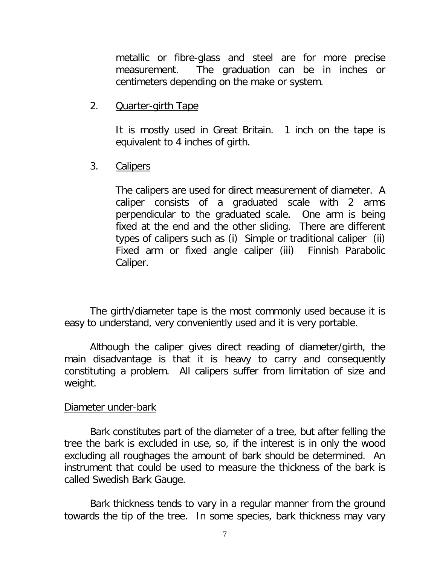metallic or fibre-glass and steel are for more precise measurement. The graduation can be in inches or centimeters depending on the make or system.

2. **Quarter-girth Tape** 

It is mostly used in Great Britain. 1 inch on the tape is equivalent to 4 inches of girth.

### 3. Calipers

The calipers are used for direct measurement of diameter. A caliper consists of a graduated scale with 2 arms perpendicular to the graduated scale. One arm is being fixed at the end and the other sliding. There are different types of calipers such as (i) Simple or traditional caliper (ii) Fixed arm or fixed angle caliper (iii) Finnish Parabolic Caliper.

The girth/diameter tape is the most commonly used because it is easy to understand, very conveniently used and it is very portable.

Although the caliper gives direct reading of diameter/girth, the main disadvantage is that it is heavy to carry and consequently constituting a problem. All calipers suffer from limitation of size and weight.

#### Diameter under-bark

Bark constitutes part of the diameter of a tree, but after felling the tree the bark is excluded in use, so, if the interest is in only the wood excluding all roughages the amount of bark should be determined. An instrument that could be used to measure the thickness of the bark is called Swedish Bark Gauge.

Bark thickness tends to vary in a regular manner from the ground towards the tip of the tree. In some species, bark thickness may vary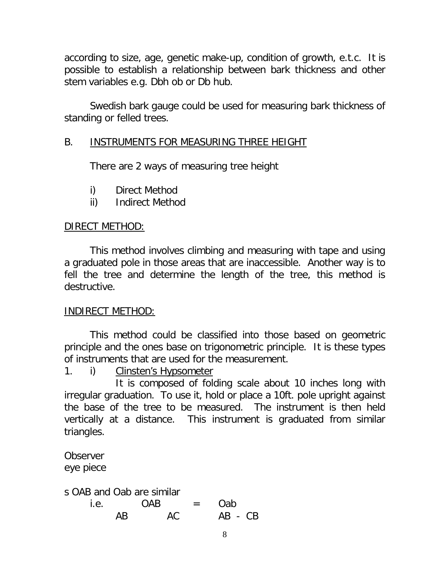according to size, age, genetic make-up, condition of growth, e.t.c. It is possible to establish a relationship between bark thickness and other stem variables e.g. Dbh ob or Db hub.

Swedish bark gauge could be used for measuring bark thickness of standing or felled trees.

### B. INSTRUMENTS FOR MEASURING THREE HEIGHT

There are 2 ways of measuring tree height

- i) Direct Method
- ii) Indirect Method

### DIRECT METHOD:

This method involves climbing and measuring with tape and using a graduated pole in those areas that are inaccessible. Another way is to fell the tree and determine the length of the tree, this method is destructive.

### INDIRECT METHOD:

This method could be classified into those based on geometric principle and the ones base on trigonometric principle. It is these types of instruments that are used for the measurement.

1. i) Clinsten's Hypsometer

It is composed of folding scale about 10 inches long with irregular graduation. To use it, hold or place a 10ft. pole upright against the base of the tree to be measured. The instrument is then held vertically at a distance. This instrument is graduated from similar triangles.

**Observer** eye piece

s OAB and Oab are similar

| i.e. |    | <b>OAB</b> | $=$ $-$ | Oab       |  |
|------|----|------------|---------|-----------|--|
|      | AB | АC         |         | $AB - CB$ |  |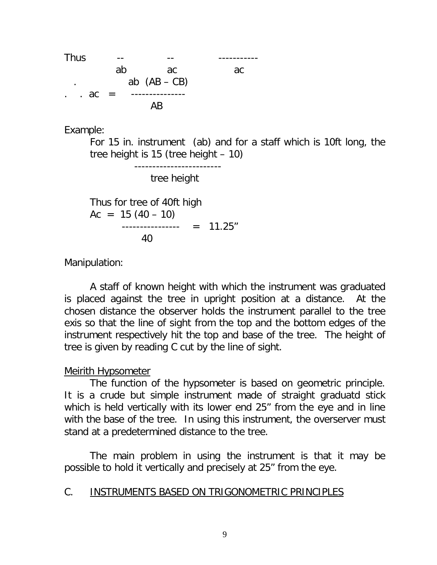

Example:

For 15 in. instrument (ab) and for a staff which is 10ft long, the tree height is 15 (tree height – 10)

------------------------

tree height

Thus for tree of 40ft high  $Ac = 15 (40 - 10)$  ---------------- = 11.25" 40

Manipulation:

A staff of known height with which the instrument was graduated is placed against the tree in upright position at a distance. At the chosen distance the observer holds the instrument parallel to the tree exis so that the line of sight from the top and the bottom edges of the instrument respectively hit the top and base of the tree. The height of tree is given by reading C cut by the line of sight.

### Meirith Hypsometer

The function of the hypsometer is based on geometric principle. It is a crude but simple instrument made of straight graduatd stick which is held vertically with its lower end 25" from the eye and in line with the base of the tree. In using this instrument, the overserver must stand at a predetermined distance to the tree.

The main problem in using the instrument is that it may be possible to hold it vertically and precisely at 25" from the eye.

### C. INSTRUMENTS BASED ON TRIGONOMETRIC PRINCIPLES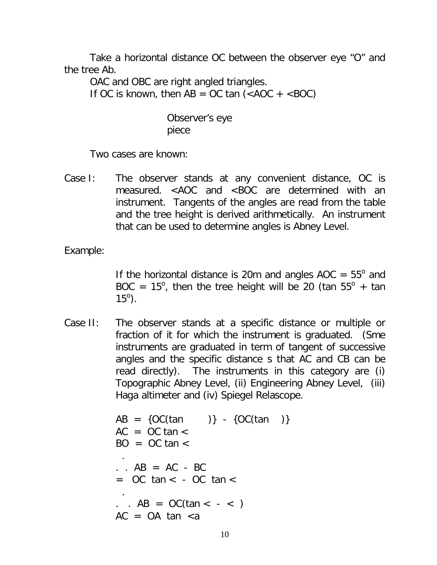Take a horizontal distance OC between the observer eye "O" and the tree Ab.

OAC and OBC are right angled triangles. If OC is known, then  $AB = OC$  tan  $(*AOC + <>BOC*)$ 

> Observer's eye piece

Two cases are known:

Case I: The observer stands at any convenient distance, OC is measured. <AOC and <BOC are determined with an instrument. Tangents of the angles are read from the table and the tree height is derived arithmetically. An instrument that can be used to determine angles is Abney Level.

Example:

If the horizontal distance is 20m and angles  $AOC = 55^\circ$  and BOC =  $15^{\circ}$ , then the tree height will be 20 (tan  $55^{\circ}$  + tan  $15^{\circ}$ ).

Case II: The observer stands at a specific distance or multiple or fraction of it for which the instrument is graduated. (Sme instruments are graduated in term of tangent of successive angles and the specific distance s that AC and CB can be read directly). The instruments in this category are (i) Topographic Abney Level, (ii) Engineering Abney Level, (iii) Haga altimeter and (iv) Spiegel Relascope.

```
AB = \{OC(tan) \} - \{OC(tan) \}AC = OC \tan \ltBO = OC \tan \lt .
\cdot . AB = AC - BC
= OC tan < - OC tan < .
. . AB = OC(tan < - <)AC = OA tan \langle a \rangle
```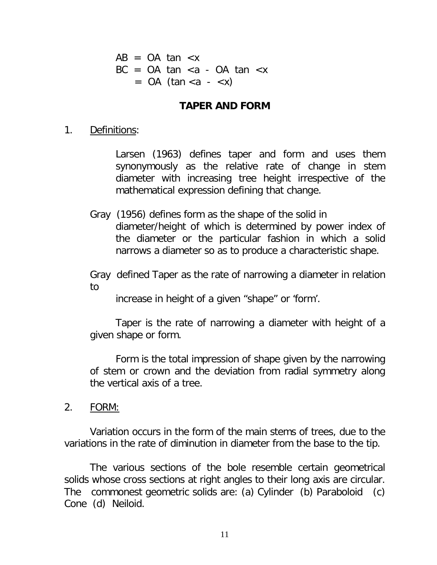$AB = OA$  tan  $\lt x$  $BC = OA \tan \langle a - OA \tan \langle x \rangle$  $=$  OA (tan  $\langle a \rangle - \langle x \rangle$ )

#### **TAPER AND FORM**

1. Definitions:

Larsen (1963) defines taper and form and uses them synonymously as the relative rate of change in stem diameter with increasing tree height irrespective of the mathematical expression defining that change.

Gray (1956) defines form as the shape of the solid in diameter/height of which is determined by power index of the diameter or the particular fashion in which a solid narrows a diameter so as to produce a characteristic shape.

Gray defined Taper as the rate of narrowing a diameter in relation to

increase in height of a given "shape" or 'form'.

Taper is the rate of narrowing a diameter with height of a given shape or form.

Form is the total impression of shape given by the narrowing of stem or crown and the deviation from radial symmetry along the vertical axis of a tree.

2. FORM:

Variation occurs in the form of the main stems of trees, due to the variations in the rate of diminution in diameter from the base to the tip.

The various sections of the bole resemble certain geometrical solids whose cross sections at right angles to their long axis are circular. The commonest geometric solids are: (a) Cylinder (b) Paraboloid (c) Cone (d) Neiloid.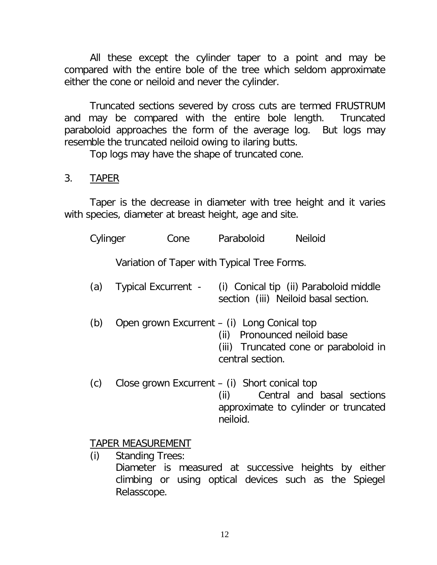All these except the cylinder taper to a point and may be compared with the entire bole of the tree which seldom approximate either the cone or neiloid and never the cylinder.

Truncated sections severed by cross cuts are termed FRUSTRUM and may be compared with the entire bole length. Truncated paraboloid approaches the form of the average log. But logs may resemble the truncated neiloid owing to ilaring butts.

Top logs may have the shape of truncated cone.

## 3. TAPER

Taper is the decrease in diameter with tree height and it varies with species, diameter at breast height, age and site.

| Cylinger |                   | Cone                                            |                  | Paraboloid       | <b>Neiloid</b>                                                                                     |
|----------|-------------------|-------------------------------------------------|------------------|------------------|----------------------------------------------------------------------------------------------------|
|          |                   | Variation of Taper with Typical Tree Forms.     |                  |                  |                                                                                                    |
| (a)      |                   |                                                 |                  |                  | Typical Excurrent - (i) Conical tip (ii) Paraboloid middle<br>section (iii) Neiloid basal section. |
| (b)      |                   | Open grown Excurrent – (i) Long Conical top     |                  | central section. | (ii) Pronounced neiloid base<br>(iii) Truncated cone or paraboloid in                              |
| (c)      |                   | Close grown Excurrent $-$ (i) Short conical top | (ii)<br>neiloid. |                  | Central and basal sections<br>approximate to cylinder or truncated                                 |
|          | TADED MEACHDEMENT |                                                 |                  |                  |                                                                                                    |

## <u>TAPER MEASUREMENT</u>

(i) Standing Trees: Diameter is measured at successive heights by either climbing or using optical devices such as the Spiegel Relasscope.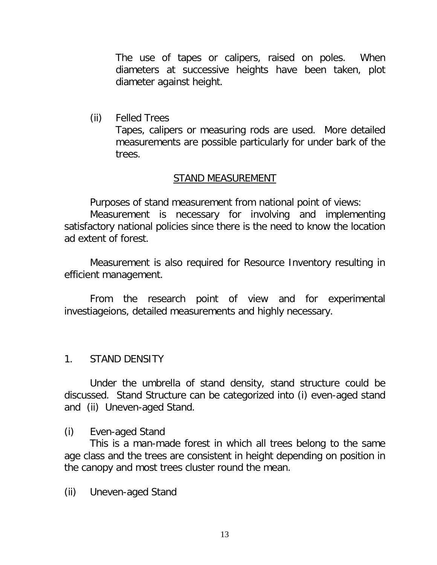The use of tapes or calipers, raised on poles. When diameters at successive heights have been taken, plot diameter against height.

(ii) Felled Trees Tapes, calipers or measuring rods are used. More detailed measurements are possible particularly for under bark of the trees.

#### STAND MEASUREMENT

Purposes of stand measurement from national point of views:

Measurement is necessary for involving and implementing satisfactory national policies since there is the need to know the location ad extent of forest.

Measurement is also required for Resource Inventory resulting in efficient management.

From the research point of view and for experimental investiageions, detailed measurements and highly necessary.

#### 1. STAND DENSITY

Under the umbrella of stand density, stand structure could be discussed. Stand Structure can be categorized into (i) even-aged stand and (ii) Uneven-aged Stand.

(i) Even-aged Stand

This is a man-made forest in which all trees belong to the same age class and the trees are consistent in height depending on position in the canopy and most trees cluster round the mean.

(ii) Uneven-aged Stand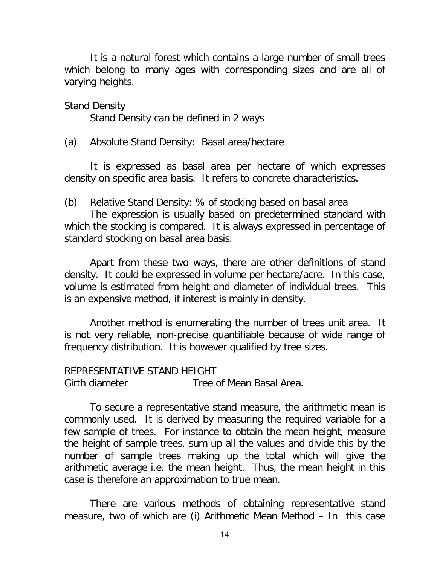It is a natural forest which contains a large number of small trees which belong to many ages with corresponding sizes and are all of varying heights.

Stand Density

Stand Density can be defined in 2 ways

(a) Absolute Stand Density: Basal area/hectare

It is expressed as basal area per hectare of which expresses density on specific area basis. It refers to concrete characteristics.

(b) Relative Stand Density: % of stocking based on basal area

The expression is usually based on predetermined standard with which the stocking is compared. It is always expressed in percentage of standard stocking on basal area basis.

Apart from these two ways, there are other definitions of stand density. It could be expressed in volume per hectare/acre. In this case, volume is estimated from height and diameter of individual trees. This is an expensive method, if interest is mainly in density.

Another method is enumerating the number of trees unit area. It is not very reliable, non-precise quantifiable because of wide range of frequency distribution. It is however qualified by tree sizes.

#### REPRESENTATIVE STAND HEIGHT

Girth diameter Tree of Mean Basal Area.

To secure a representative stand measure, the arithmetic mean is commonly used. It is derived by measuring the required variable for a few sample of trees. For instance to obtain the mean height, measure the height of sample trees, sum up all the values and divide this by the number of sample trees making up the total which will give the arithmetic average i.e. the mean height. Thus, the mean height in this case is therefore an approximation to true mean.

There are various methods of obtaining representative stand measure, two of which are (i) Arithmetic Mean Method – In this case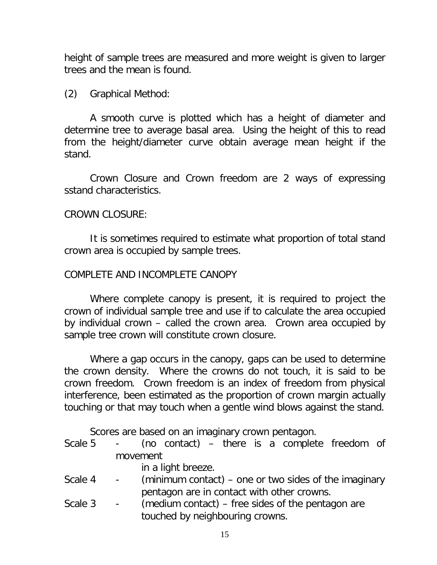height of sample trees are measured and more weight is given to larger trees and the mean is found.

(2) Graphical Method:

A smooth curve is plotted which has a height of diameter and determine tree to average basal area. Using the height of this to read from the height/diameter curve obtain average mean height if the stand.

Crown Closure and Crown freedom are 2 ways of expressing sstand characteristics.

### CROWN CLOSURE:

It is sometimes required to estimate what proportion of total stand crown area is occupied by sample trees.

### COMPLETE AND INCOMPLETE CANOPY

Where complete canopy is present, it is required to project the crown of individual sample tree and use if to calculate the area occupied by individual crown – called the crown area. Crown area occupied by sample tree crown will constitute crown closure.

Where a gap occurs in the canopy, gaps can be used to determine the crown density. Where the crowns do not touch, it is said to be crown freedom. Crown freedom is an index of freedom from physical interference, been estimated as the proportion of crown margin actually touching or that may touch when a gentle wind blows against the stand.

Scores are based on an imaginary crown pentagon.

- Scale 5 (no contact) there is a complete freedom of movement
	- in a light breeze.
- Scale 4  $\blacksquare$  (minimum contact) one or two sides of the imaginary pentagon are in contact with other crowns.
- Scale 3 (medium contact) free sides of the pentagon are touched by neighbouring crowns.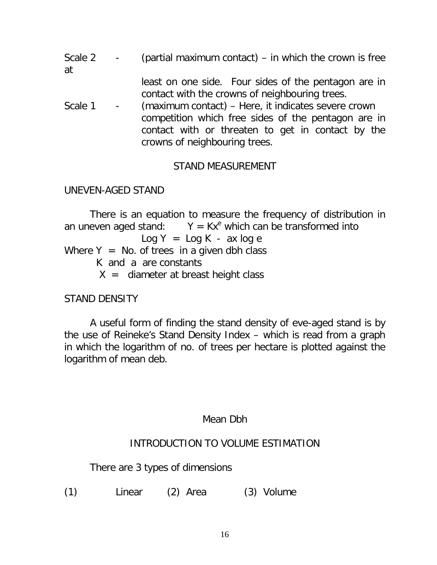| Scale 2<br>at | (partial maximum contact) $-$ in which the crown is free                                                                                                                                         |  |  |  |
|---------------|--------------------------------------------------------------------------------------------------------------------------------------------------------------------------------------------------|--|--|--|
|               | least on one side. Four sides of the pentagon are in<br>contact with the crowns of neighbouring trees.                                                                                           |  |  |  |
| Scale 1       | (maximum contact) – Here, it indicates severe crown<br>competition which free sides of the pentagon are in<br>contact with or threaten to get in contact by the<br>crowns of neighbouring trees. |  |  |  |

### STAND MEASUREMENT

### UNEVEN-AGED STAND

There is an equation to measure the frequency of distribution in an uneven aged stand:  $Y = Kx^e$  which can be transformed into  $Log Y = Log K - ax log e$ Where  $Y = No$ . of trees in a given dbh class K and a are constants  $X =$  diameter at breast height class

## STAND DENSITY

A useful form of finding the stand density of eve-aged stand is by the use of Reineke's Stand Density Index – which is read from a graph in which the logarithm of no. of trees per hectare is plotted against the logarithm of mean deb.

### Mean Dbh

### INTRODUCTION TO VOLUME ESTIMATION

There are 3 types of dimensions

(1) Linear (2) Area (3) Volume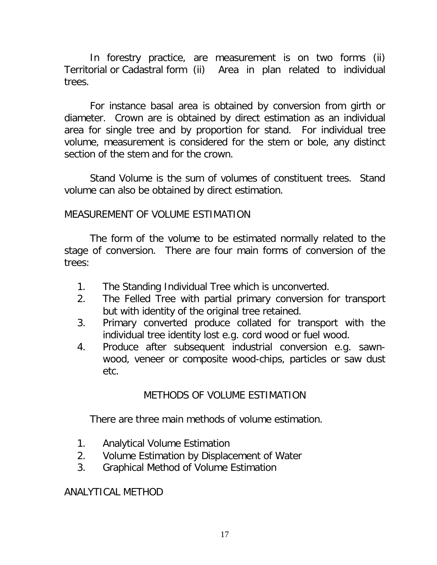In forestry practice, are measurement is on two forms (ii) Territorial or Cadastral form (ii) Area in plan related to individual trees.

For instance basal area is obtained by conversion from girth or diameter. Crown are is obtained by direct estimation as an individual area for single tree and by proportion for stand. For individual tree volume, measurement is considered for the stem or bole, any distinct section of the stem and for the crown.

Stand Volume is the sum of volumes of constituent trees. Stand volume can also be obtained by direct estimation.

### MEASUREMENT OF VOLUME ESTIMATION

The form of the volume to be estimated normally related to the stage of conversion. There are four main forms of conversion of the trees:

- 1. The Standing Individual Tree which is unconverted.
- 2. The Felled Tree with partial primary conversion for transport but with identity of the original tree retained.
- 3. Primary converted produce collated for transport with the individual tree identity lost e.g. cord wood or fuel wood.
- 4. Produce after subsequent industrial conversion e.g. sawnwood, veneer or composite wood-chips, particles or saw dust etc.

## METHODS OF VOLUME ESTIMATION

There are three main methods of volume estimation.

- 1. Analytical Volume Estimation
- 2. Volume Estimation by Displacement of Water
- 3. Graphical Method of Volume Estimation

ANALYTICAL METHOD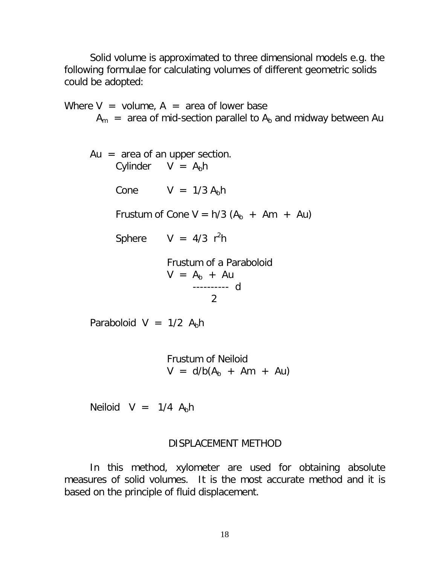Solid volume is approximated to three dimensional models e.g. the following formulae for calculating volumes of different geometric solids could be adopted:

Where  $V =$  volume,  $A =$  area of lower base  $A_m$  = area of mid-section parallel to  $A_b$  and midway between Au Au  $=$  area of an upper section. Cylinder  $V = A_b h$ Cone  $V = 1/3 A<sub>b</sub> h$ Frustum of Cone  $V = h/3$  ( $A_b + Am + Au$ ) Sphere  $V = 4/3$  r<sup>2</sup>h Frustum of a Paraboloid  $V = A_b + Au$ ---------- d 2 Paraboloid V =  $1/2$  A<sub>b</sub>h Frustum of Neiloid  $V = d/b(A_b + Am + Au)$ 

Neiloid  $V = 1/4$  A<sub>b</sub>h

#### DISPLACEMENT METHOD

In this method, xylometer are used for obtaining absolute measures of solid volumes. It is the most accurate method and it is based on the principle of fluid displacement.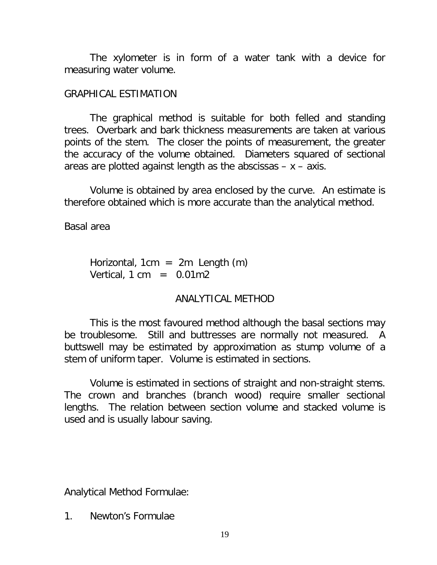The xylometer is in form of a water tank with a device for measuring water volume.

### GRAPHICAL ESTIMATION

The graphical method is suitable for both felled and standing trees. Overbark and bark thickness measurements are taken at various points of the stem. The closer the points of measurement, the greater the accuracy of the volume obtained. Diameters squared of sectional areas are plotted against length as the abscissas  $- x - a$ xis.

Volume is obtained by area enclosed by the curve. An estimate is therefore obtained which is more accurate than the analytical method.

Basal area

Horizontal,  $1cm = 2m$  Length  $(m)$ Vertical,  $1 \text{ cm} = 0.01 \text{ m}$ 

## ANALYTICAL METHOD

This is the most favoured method although the basal sections may be troublesome. Still and buttresses are normally not measured. A buttswell may be estimated by approximation as stump volume of a stem of uniform taper. Volume is estimated in sections.

Volume is estimated in sections of straight and non-straight stems. The crown and branches (branch wood) require smaller sectional lengths. The relation between section volume and stacked volume is used and is usually labour saving.

Analytical Method Formulae:

1. Newton's Formulae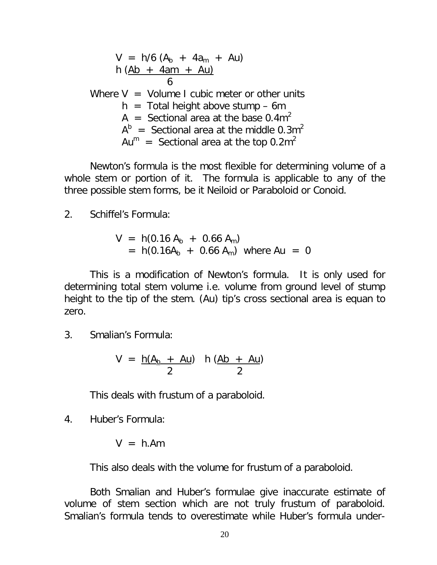$$
V = h/6 (Ab + 4am + Au)
$$
  
\n
$$
h (Ab + 4am + Au)
$$
  
\n6  
\nWhere V = Volume I cubic meter or other units  
\n
$$
h = Total height above stump - 6m
$$
  
\n
$$
A = \text{Sectional area at the base } 0.4m^2
$$
  
\n
$$
Ab = \text{Sectional area at the middle } 0.3m^2
$$
  
\n
$$
Aum = \text{Sectional area at the top } 0.2m^2
$$

Newton's formula is the most flexible for determining volume of a whole stem or portion of it. The formula is applicable to any of the three possible stem forms, be it Neiloid or Paraboloid or Conoid.

2. Schiffel's Formula:

$$
V = h(0.16 Ab + 0.66 Am)
$$
  
= h(0.16A<sub>b</sub> + 0.66 A<sub>m</sub>) where Au = 0

This is a modification of Newton's formula. It is only used for determining total stem volume i.e. volume from ground level of stump height to the tip of the stem. (Au) tip's cross sectional area is equan to zero.

3. Smalian's Formula:

$$
V = \frac{h(A_b + Au)}{2} \quad h \left(\frac{Ab + Au}{2}\right)
$$

This deals with frustum of a paraboloid.

4. Huber's Formula:

$$
V = h.Am
$$

This also deals with the volume for frustum of a paraboloid.

Both Smalian and Huber's formulae give inaccurate estimate of volume of stem section which are not truly frustum of paraboloid. Smalian's formula tends to overestimate while Huber's formula under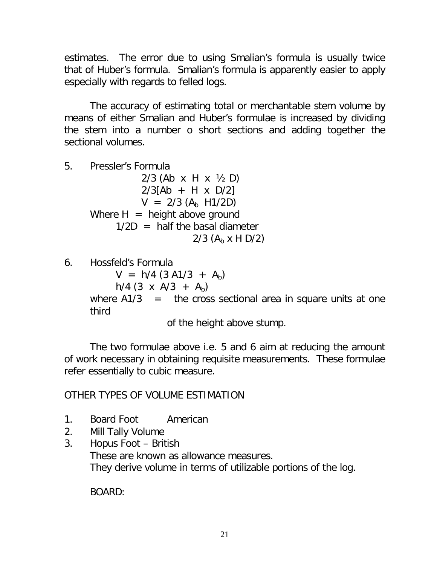estimates. The error due to using Smalian's formula is usually twice that of Huber's formula. Smalian's formula is apparently easier to apply especially with regards to felled logs.

The accuracy of estimating total or merchantable stem volume by means of either Smalian and Huber's formulae is increased by dividing the stem into a number o short sections and adding together the sectional volumes.

5. Pressler's Formula

2/3 (Ab x H x ½ D)  $2/3$ [Ab + H x D/2]  $V = 2/3$  (A<sub>b</sub> H1/2D) Where  $H =$  height above ground  $1/2D$  = half the basal diameter 2/3  $(A<sub>b</sub> x H D/2)$ 

6. Hossfeld's Formula

 $V = h/4 (3 A1/3 + A<sub>b</sub>)$ h/4 (3 x A/3 +  $A_b$ ) where  $A1/3$  = the cross sectional area in square units at one third

of the height above stump.

The two formulae above i.e. 5 and 6 aim at reducing the amount of work necessary in obtaining requisite measurements. These formulae refer essentially to cubic measure.

### OTHER TYPES OF VOLUME ESTIMATION

- 1. Board Foot American
- 2. Mill Tally Volume
- 3. Hopus Foot British These are known as allowance measures. They derive volume in terms of utilizable portions of the log.

BOARD: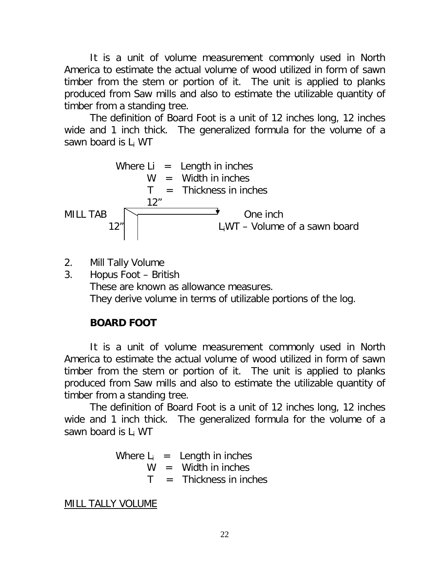It is a unit of volume measurement commonly used in North America to estimate the actual volume of wood utilized in form of sawn timber from the stem or portion of it. The unit is applied to planks produced from Saw mills and also to estimate the utilizable quantity of timber from a standing tree.

The definition of Board Foot is a unit of 12 inches long, 12 inches wide and 1 inch thick. The generalized formula for the volume of a sawn board is L<sup>i</sup> WT

Where Li = Length in inches

\n
$$
W = Width in inches
$$
\n
$$
T = Thickness in inches
$$
\nMILL TAB

\n
$$
12^{\prime\prime}
$$
\nOne inch

\n
$$
L_iWT - Volume of a sawn board
$$

- 2. Mill Tally Volume
- 3. Hopus Foot British These are known as allowance measures. They derive volume in terms of utilizable portions of the log.

# **BOARD FOOT**

It is a unit of volume measurement commonly used in North America to estimate the actual volume of wood utilized in form of sawn timber from the stem or portion of it. The unit is applied to planks produced from Saw mills and also to estimate the utilizable quantity of timber from a standing tree.

The definition of Board Foot is a unit of 12 inches long, 12 inches wide and 1 inch thick. The generalized formula for the volume of a sawn board is L<sub>i</sub> WT

> Where  $L_i$  = Length in inches  $W =$  Width in inches  $T =$  Thickness in inches

MILL TALLY VOLUME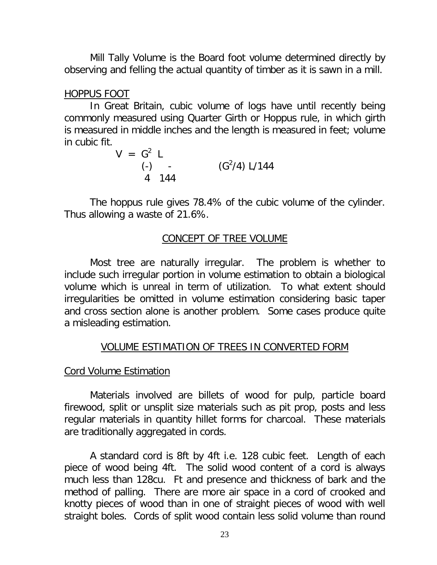Mill Tally Volume is the Board foot volume determined directly by observing and felling the actual quantity of timber as it is sawn in a mill.

### HOPPUS FOOT

In Great Britain, cubic volume of logs have until recently being commonly measured using Quarter Girth or Hoppus rule, in which girth is measured in middle inches and the length is measured in feet; volume in cubic fit.

$$
V = G2 L
$$
  
\n(-) -  
\n(G<sup>2</sup>/4) L/144  
\n4 144

The hoppus rule gives 78.4% of the cubic volume of the cylinder. Thus allowing a waste of 21.6%.

## CONCEPT OF TREE VOLUME

Most tree are naturally irregular. The problem is whether to include such irregular portion in volume estimation to obtain a biological volume which is unreal in term of utilization. To what extent should irregularities be omitted in volume estimation considering basic taper and cross section alone is another problem. Some cases produce quite a misleading estimation.

## VOLUME ESTIMATION OF TREES IN CONVERTED FORM

### Cord Volume Estimation

Materials involved are billets of wood for pulp, particle board firewood, split or unsplit size materials such as pit prop, posts and less regular materials in quantity hillet forms for charcoal. These materials are traditionally aggregated in cords.

A standard cord is 8ft by 4ft i.e. 128 cubic feet. Length of each piece of wood being 4ft. The solid wood content of a cord is always much less than 128cu. Ft and presence and thickness of bark and the method of palling. There are more air space in a cord of crooked and knotty pieces of wood than in one of straight pieces of wood with well straight boles. Cords of split wood contain less solid volume than round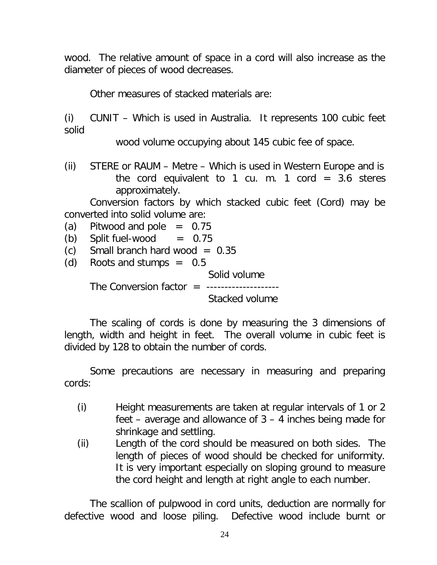wood. The relative amount of space in a cord will also increase as the diameter of pieces of wood decreases.

Other measures of stacked materials are:

(i) CUNIT – Which is used in Australia. It represents 100 cubic feet solid

wood volume occupying about 145 cubic fee of space.

(ii) STERE or RAUM – Metre – Which is used in Western Europe and is the cord equivalent to 1 cu. m. 1 cord =  $3.6$  steres approximately.

Conversion factors by which stacked cubic feet (Cord) may be converted into solid volume are:

(a) Pitwood and pole  $= 0.75$ 

- (b) Split fuel-wood  $= 0.75$
- $(c)$  Small branch hard wood = 0.35
- (d) Roots and stumps  $=$  0.5 Solid volume The Conversion factor  $=$  ---------------------Stacked volume

The scaling of cords is done by measuring the 3 dimensions of length, width and height in feet. The overall volume in cubic feet is divided by 128 to obtain the number of cords.

Some precautions are necessary in measuring and preparing cords:

- (i) Height measurements are taken at regular intervals of 1 or 2 feet – average and allowance of 3 – 4 inches being made for shrinkage and settling.
- (ii) Length of the cord should be measured on both sides. The length of pieces of wood should be checked for uniformity. It is very important especially on sloping ground to measure the cord height and length at right angle to each number.

The scallion of pulpwood in cord units, deduction are normally for defective wood and loose piling. Defective wood include burnt or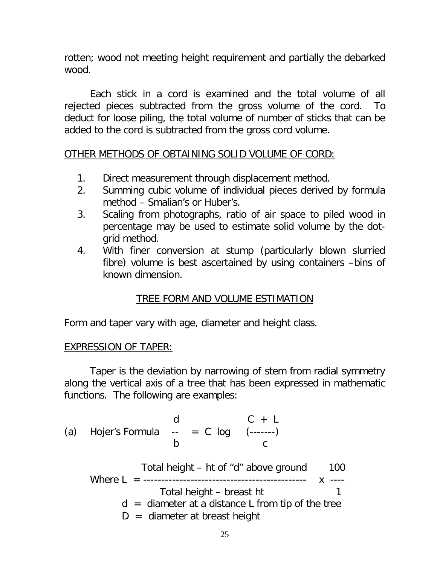rotten; wood not meeting height requirement and partially the debarked wood.

Each stick in a cord is examined and the total volume of all rejected pieces subtracted from the gross volume of the cord. To deduct for loose piling, the total volume of number of sticks that can be added to the cord is subtracted from the gross cord volume.

### OTHER METHODS OF OBTAINING SOLID VOLUME OF CORD:

- 1. Direct measurement through displacement method.
- 2. Summing cubic volume of individual pieces derived by formula method – Smalian's or Huber's.
- 3. Scaling from photographs, ratio of air space to piled wood in percentage may be used to estimate solid volume by the dotgrid method.
- 4. With finer conversion at stump (particularly blown slurried fibre) volume is best ascertained by using containers –bins of known dimension.

## TREE FORM AND VOLUME ESTIMATION

Form and taper vary with age, diameter and height class.

### EXPRESSION OF TAPER:

Taper is the deviation by narrowing of stem from radial symmetry along the vertical axis of a tree that has been expressed in mathematic functions. The following are examples:

d  $C + L$ (a) Hojer's Formula  $-$  =  $C$  log  $(-$ ----- b c Total height – ht of "d" above ground 100 Where L = --------------------------------------------- x ---- Total height – breast ht 1  $d =$  diameter at a distance L from tip of the tree  $D =$  diameter at breast height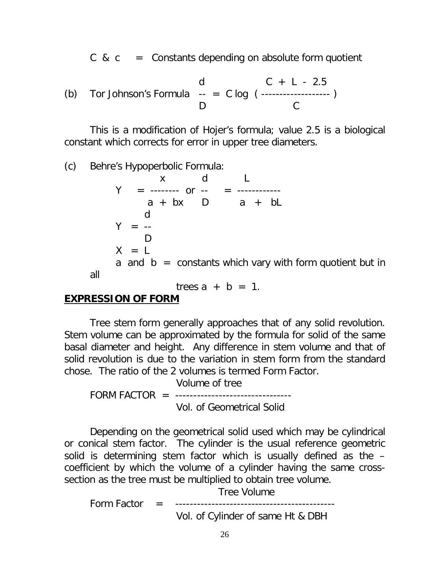C &  $c =$  Constants depending on absolute form quotient

(b) Tor Johnson's Formula 
$$
\begin{array}{ccc} & d & C + L - 2.5 \\ - & D & C \end{array}
$$

This is a modification of Hojer's formula; value 2.5 is a biological constant which corrects for error in upper tree diameters.

(c) Behre's Hypoperbolic Formula:

 x d L Y = -------- or -- = -----------  $a + bx$  D  $a + bL$ d  $Y = -$ D  $X = L$ a and  $b =$  constants which vary with form quotient but in all

trees  $a + b = 1$ .

### **EXPRESSION OF FORM**

Tree stem form generally approaches that of any solid revolution. Stem volume can be approximated by the formula for solid of the same basal diameter and height. Any difference in stem volume and that of solid revolution is due to the variation in stem form from the standard chose. The ratio of the 2 volumes is termed Form Factor.

 Volume of tree FORM FACTOR = ---------------------------------Vol. of Geometrical Solid

Depending on the geometrical solid used which may be cylindrical or conical stem factor. The cylinder is the usual reference geometric solid is determining stem factor which is usually defined as the – coefficient by which the volume of a cylinder having the same crosssection as the tree must be multiplied to obtain tree volume.

Tree Volume

Form Factor = -------------------------------------------- Vol. of Cylinder of same Ht & DBH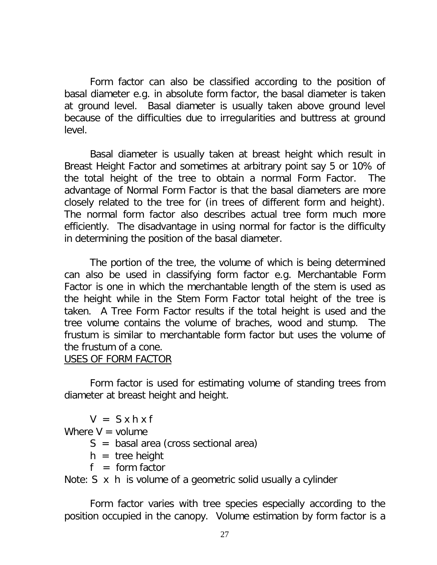Form factor can also be classified according to the position of basal diameter e.g. in absolute form factor, the basal diameter is taken at ground level. Basal diameter is usually taken above ground level because of the difficulties due to irregularities and buttress at ground level.

Basal diameter is usually taken at breast height which result in Breast Height Factor and sometimes at arbitrary point say 5 or 10% of the total height of the tree to obtain a normal Form Factor. The advantage of Normal Form Factor is that the basal diameters are more closely related to the tree for (in trees of different form and height). The normal form factor also describes actual tree form much more efficiently. The disadvantage in using normal for factor is the difficulty in determining the position of the basal diameter.

The portion of the tree, the volume of which is being determined can also be used in classifying form factor e.g. Merchantable Form Factor is one in which the merchantable length of the stem is used as the height while in the Stem Form Factor total height of the tree is taken. A Tree Form Factor results if the total height is used and the tree volume contains the volume of braches, wood and stump. The frustum is similar to merchantable form factor but uses the volume of the frustum of a cone.

### USES OF FORM FACTOR

Form factor is used for estimating volume of standing trees from diameter at breast height and height.

 $V = S x h x f$ 

Where  $V =$  volume

- $S =$  basal area (cross sectional area)
- $h =$  tree height
- $f = form factor$

Note: S x h is volume of a geometric solid usually a cylinder

Form factor varies with tree species especially according to the position occupied in the canopy. Volume estimation by form factor is a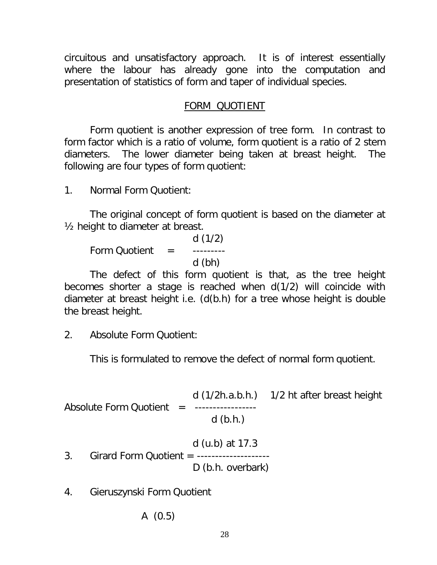circuitous and unsatisfactory approach. It is of interest essentially where the labour has already gone into the computation and presentation of statistics of form and taper of individual species.

### FORM QUOTIENT

Form quotient is another expression of tree form. In contrast to form factor which is a ratio of volume, form quotient is a ratio of 2 stem diameters. The lower diameter being taken at breast height. The following are four types of form quotient:

1. Normal Form Quotient:

The original concept of form quotient is based on the diameter at ½ height to diameter at breast.

d (1/2) Form Quotient = --------d (bh)

The defect of this form quotient is that, as the tree height becomes shorter a stage is reached when d(1/2) will coincide with diameter at breast height i.e. (d(b.h) for a tree whose height is double the breast height.

2. Absolute Form Quotient:

This is formulated to remove the defect of normal form quotient.

d (1/2h.a.b.h.) 1/2 ht after breast height Absolute Form Quotient = ----------------d (b.h.)

- d (u.b) at 17.3 3. Girard Form Quotient = -------------------- D (b.h. overbark)
- 4. Gieruszynski Form Quotient

A (0.5)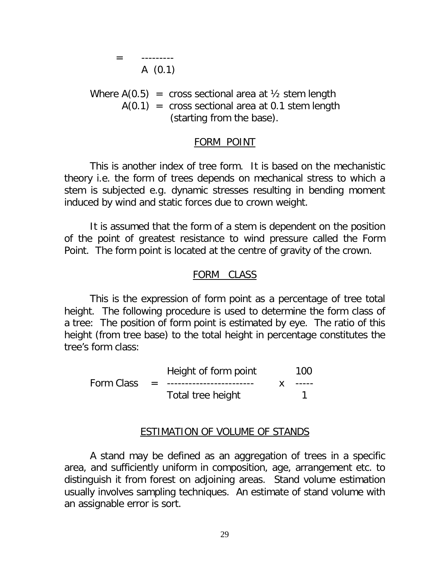= --------- A (0.1)

Where  $A(0.5)$  = cross sectional area at  $\frac{1}{2}$  stem length  $A(0.1)$  = cross sectional area at 0.1 stem length (starting from the base).

#### FORM POINT

This is another index of tree form. It is based on the mechanistic theory i.e. the form of trees depends on mechanical stress to which a stem is subjected e.g. dynamic stresses resulting in bending moment induced by wind and static forces due to crown weight.

It is assumed that the form of a stem is dependent on the position of the point of greatest resistance to wind pressure called the Form Point. The form point is located at the centre of gravity of the crown.

#### FORM CLASS

This is the expression of form point as a percentage of tree total height. The following procedure is used to determine the form class of a tree: The position of form point is estimated by eye. The ratio of this height (from tree base) to the total height in percentage constitutes the tree's form class:

|            |          | Height of form point      |  | 100           |
|------------|----------|---------------------------|--|---------------|
| Form Class | $\equiv$ | ------------------------- |  | $- - - - - -$ |
|            |          | Total tree height         |  |               |

#### ESTIMATION OF VOLUME OF STANDS

A stand may be defined as an aggregation of trees in a specific area, and sufficiently uniform in composition, age, arrangement etc. to distinguish it from forest on adjoining areas. Stand volume estimation usually involves sampling techniques. An estimate of stand volume with an assignable error is sort.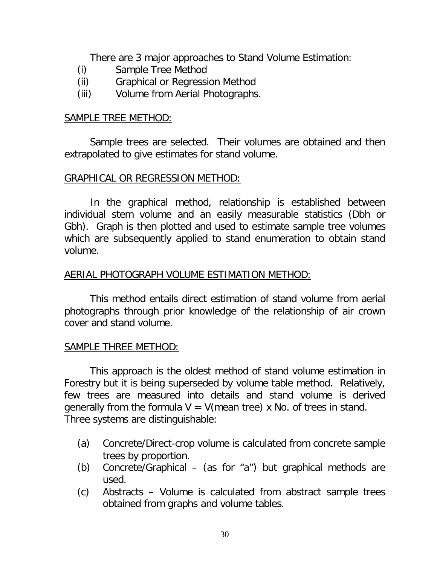There are 3 major approaches to Stand Volume Estimation:

- (i) Sample Tree Method
- (ii) Graphical or Regression Method
- (iii) Volume from Aerial Photographs.

### SAMPLE TREE METHOD:

Sample trees are selected. Their volumes are obtained and then extrapolated to give estimates for stand volume.

### GRAPHICAL OR REGRESSION METHOD:

In the graphical method, relationship is established between individual stem volume and an easily measurable statistics (Dbh or Gbh). Graph is then plotted and used to estimate sample tree volumes which are subsequently applied to stand enumeration to obtain stand volume.

### AERIAL PHOTOGRAPH VOLUME ESTIMATION METHOD:

This method entails direct estimation of stand volume from aerial photographs through prior knowledge of the relationship of air crown cover and stand volume.

### SAMPLE THREE METHOD:

This approach is the oldest method of stand volume estimation in Forestry but it is being superseded by volume table method. Relatively, few trees are measured into details and stand volume is derived generally from the formula  $V = V$ (mean tree) x No. of trees in stand. Three systems are distinguishable:

- (a) Concrete/Direct-crop volume is calculated from concrete sample trees by proportion.
- (b) Concrete/Graphical (as for "a") but graphical methods are used.
- (c) Abstracts Volume is calculated from abstract sample trees obtained from graphs and volume tables.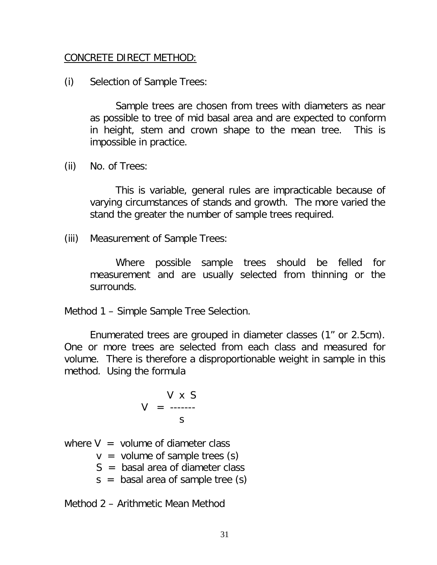### CONCRETE DIRECT METHOD:

(i) Selection of Sample Trees:

Sample trees are chosen from trees with diameters as near as possible to tree of mid basal area and are expected to conform in height, stem and crown shape to the mean tree. This is impossible in practice.

(ii) No. of Trees:

This is variable, general rules are impracticable because of varying circumstances of stands and growth. The more varied the stand the greater the number of sample trees required.

(iii) Measurement of Sample Trees:

Where possible sample trees should be felled for measurement and are usually selected from thinning or the surrounds.

Method 1 – Simple Sample Tree Selection.

Enumerated trees are grouped in diameter classes (1" or 2.5cm). One or more trees are selected from each class and measured for volume. There is therefore a disproportionable weight in sample in this method. Using the formula

$$
V = \frac{V \times S}{S}
$$

where  $V =$  volume of diameter class

 $v =$  volume of sample trees (s)

 $S =$  basal area of diameter class

 $s =$  basal area of sample tree  $(s)$ 

Method 2 – Arithmetic Mean Method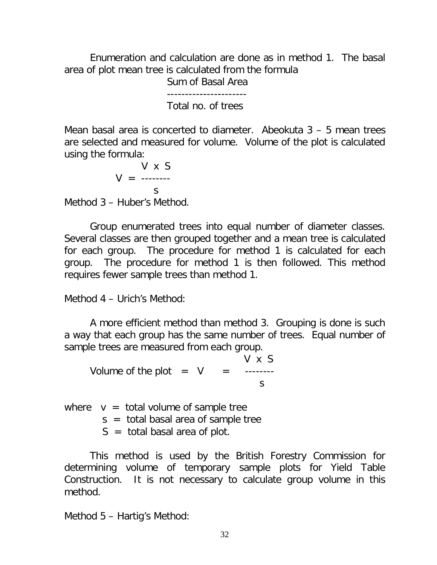Enumeration and calculation are done as in method 1. The basal area of plot mean tree is calculated from the formula

Sum of Basal Area

---------------------- Total no. of trees

Mean basal area is concerted to diameter. Abeokuta 3 – 5 mean trees are selected and measured for volume. Volume of the plot is calculated using the formula:

V x S  $V =$  ------- s Method 3 – Huber's Method.

Group enumerated trees into equal number of diameter classes. Several classes are then grouped together and a mean tree is calculated for each group. The procedure for method 1 is calculated for each group. The procedure for method 1 is then followed. This method requires fewer sample trees than method 1.

Method 4 – Urich's Method:

A more efficient method than method 3. Grouping is done is such a way that each group has the same number of trees. Equal number of sample trees are measured from each group.

V x S Volume of the plot  $= V =$  -------s

where  $v =$  total volume of sample tree  $s =$  total basal area of sample tree

 $S =$  total basal area of plot.

This method is used by the British Forestry Commission for determining volume of temporary sample plots for Yield Table Construction. It is not necessary to calculate group volume in this method.

Method 5 – Hartig's Method: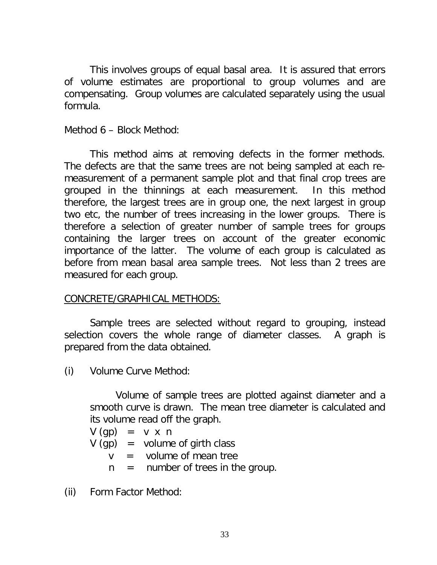This involves groups of equal basal area. It is assured that errors of volume estimates are proportional to group volumes and are compensating. Group volumes are calculated separately using the usual formula.

Method 6 – Block Method:

This method aims at removing defects in the former methods. The defects are that the same trees are not being sampled at each remeasurement of a permanent sample plot and that final crop trees are grouped in the thinnings at each measurement. In this method therefore, the largest trees are in group one, the next largest in group two etc, the number of trees increasing in the lower groups. There is therefore a selection of greater number of sample trees for groups containing the larger trees on account of the greater economic importance of the latter. The volume of each group is calculated as before from mean basal area sample trees. Not less than 2 trees are measured for each group.

### CONCRETE/GRAPHICAL METHODS:

Sample trees are selected without regard to grouping, instead selection covers the whole range of diameter classes. A graph is prepared from the data obtained.

(i) Volume Curve Method:

Volume of sample trees are plotted against diameter and a smooth curve is drawn. The mean tree diameter is calculated and its volume read off the graph.

$$
V (gp) = v x n
$$

 $V$  (qp) = volume of girth class

 $v =$  volume of mean tree

 $n =$  number of trees in the group.

(ii) Form Factor Method: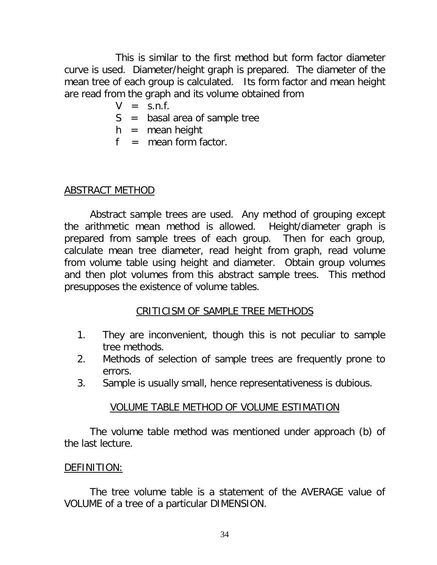This is similar to the first method but form factor diameter curve is used. Diameter/height graph is prepared. The diameter of the mean tree of each group is calculated. Its form factor and mean height are read from the graph and its volume obtained from

- $V = S.n.f.$
- S = basal area of sample tree
- $h =$  mean height
- $f =$  mean form factor.

### ABSTRACT METHOD

Abstract sample trees are used. Any method of grouping except the arithmetic mean method is allowed. Height/diameter graph is prepared from sample trees of each group. Then for each group, calculate mean tree diameter, read height from graph, read volume from volume table using height and diameter. Obtain group volumes and then plot volumes from this abstract sample trees. This method presupposes the existence of volume tables.

## CRITICISM OF SAMPLE TREE METHODS

- 1. They are inconvenient, though this is not peculiar to sample tree methods.
- 2. Methods of selection of sample trees are frequently prone to errors.
- 3. Sample is usually small, hence representativeness is dubious.

### VOLUME TABLE METHOD OF VOLUME ESTIMATION

The volume table method was mentioned under approach (b) of the last lecture.

### DEFINITION:

The tree volume table is a statement of the AVERAGE value of VOLUME of a tree of a particular DIMENSION.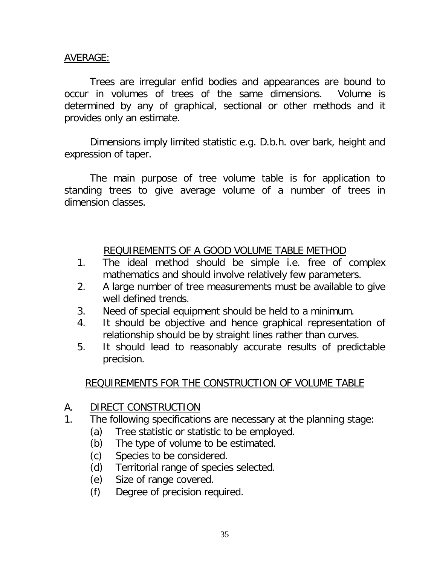### AVERAGE:

Trees are irregular enfid bodies and appearances are bound to occur in volumes of trees of the same dimensions. Volume is determined by any of graphical, sectional or other methods and it provides only an estimate.

Dimensions imply limited statistic e.g. D.b.h. over bark, height and expression of taper.

The main purpose of tree volume table is for application to standing trees to give average volume of a number of trees in dimension classes.

### REQUIREMENTS OF A GOOD VOLUME TABLE METHOD

- 1. The ideal method should be simple i.e. free of complex mathematics and should involve relatively few parameters.
- 2. A large number of tree measurements must be available to give well defined trends.
- 3. Need of special equipment should be held to a minimum.
- 4. It should be objective and hence graphical representation of relationship should be by straight lines rather than curves.
- 5. It should lead to reasonably accurate results of predictable precision.

## REQUIREMENTS FOR THE CONSTRUCTION OF VOLUME TABLE

### A. DIRECT CONSTRUCTION

- 1. The following specifications are necessary at the planning stage:
	- (a) Tree statistic or statistic to be employed.
	- (b) The type of volume to be estimated.
	- (c) Species to be considered.
	- (d) Territorial range of species selected.
	- (e) Size of range covered.
	- (f) Degree of precision required.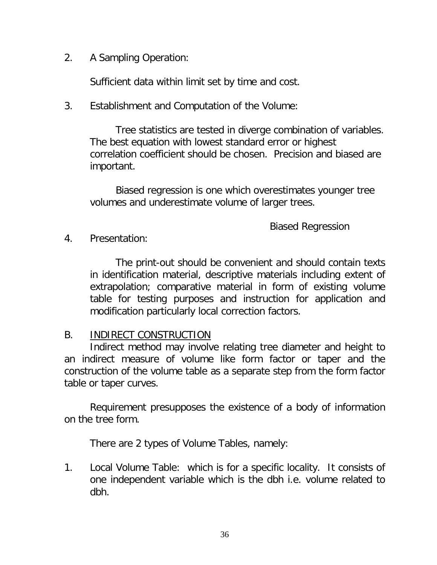2. A Sampling Operation:

Sufficient data within limit set by time and cost.

3. Establishment and Computation of the Volume:

Tree statistics are tested in diverge combination of variables. The best equation with lowest standard error or highest correlation coefficient should be chosen. Precision and biased are important.

Biased regression is one which overestimates younger tree volumes and underestimate volume of larger trees.

Biased Regression

4. Presentation:

The print-out should be convenient and should contain texts in identification material, descriptive materials including extent of extrapolation; comparative material in form of existing volume table for testing purposes and instruction for application and modification particularly local correction factors.

### B. INDIRECT CONSTRUCTION

Indirect method may involve relating tree diameter and height to an indirect measure of volume like form factor or taper and the construction of the volume table as a separate step from the form factor table or taper curves.

Requirement presupposes the existence of a body of information on the tree form.

There are 2 types of Volume Tables, namely:

1. Local Volume Table: which is for a specific locality. It consists of one independent variable which is the dbh i.e. volume related to dbh.